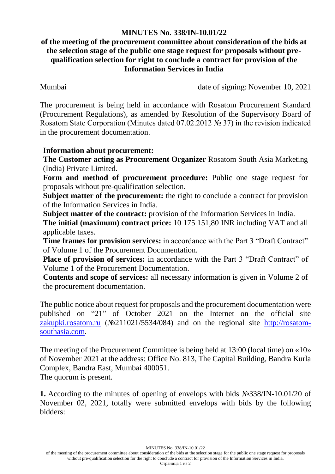## **MINUTES No. 338/IN-10.01/22**

## **of the meeting of the procurement committee about consideration of the bids at the selection stage of the public one stage request for proposals without prequalification selection for right to conclude a contract for provision of the Information Services in India**

Mumbai date of signing: November 10, 2021

The procurement is being held in accordance with Rosatom Procurement Standard (Procurement Regulations), as amended by Resolution of the Supervisory Board of Rosatom State Corporation (Minutes dated 07.02.2012 № 37) in the revision indicated in the procurement documentation.

## **Information about procurement:**

**The Customer acting as Procurement Organizer** Rosatom South Asia Marketing (India) Private Limited.

**Form and method of procurement procedure:** Public one stage request for proposals without pre-qualification selection.

**Subject matter of the procurement:** the right to conclude a contract for provision of the Information Services in India.

**Subject matter of the contract:** provision of the Information Services in India.

**The initial (maximum) contract price:** 10 175 151,80 INR including VAT and all applicable taxes.

**Time frames for provision services:** in accordance with the Part 3 "Draft Contract" of Volume 1 of the Procurement Documentation.

**Place of provision of services:** in accordance with the Part 3 "Draft Contract" of Volume 1 of the Procurement Documentation.

**Contents and scope of services:** all necessary information is given in Volume 2 of the procurement documentation.

The public notice about request for proposals and the procurement documentation were published on "21" of October 2021 on the Internet on the official site [zakupki.rosatom.ru](http://zakupki.rosatom.ru/) (№211021/5534/084) and on the regional site http://rosatomsouthasia.com.

The meeting of the Procurement Committee is being held at 13:00 (local time) on «10» of November 2021 at the address: Office No. 813, The Capital Building, Bandra Kurla Complex, Bandra East, Mumbai 400051. The quorum is present.

**1.** According to the minutes of opening of envelops with bids №338/IN-10.01/20 of November 02, 2021, totally were submitted envelops with bids by the following bidders:

MINUTES No. 338/IN-10.01/22